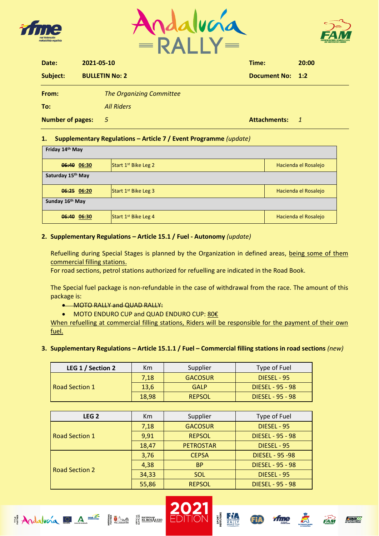





| Date:                   | 2021-05-10 |                                 | Time:            | 20:00          |  |  |
|-------------------------|------------|---------------------------------|------------------|----------------|--|--|
| Subject:                |            | <b>BULLETIN No: 2</b>           | Document No: 1:2 |                |  |  |
| From:                   |            | <b>The Organizing Committee</b> |                  |                |  |  |
| To:                     |            | <b>All Riders</b>               |                  |                |  |  |
| <b>Number of pages:</b> |            | - 5                             | Attachments:     | $\overline{1}$ |  |  |

## **1. Supplementary Regulations – Article 7 / Event Programme** *(update)*

| Friday 14th May   |                        |                      |
|-------------------|------------------------|----------------------|
| 06:40 06:30       | Start $1st$ Bike Leg 2 | Hacienda el Rosalejo |
| Saturday 15th May |                        |                      |
| 06:25 06:20       | Start $1st$ Bike Leg 3 | Hacienda el Rosalejo |
| Sunday 16th May   |                        |                      |
| 06:40 06:30       | Start $1st$ Bike Leg 4 | Hacienda el Rosalejo |

## **2. Supplementary Regulations – Article 15.1 / Fuel - Autonomy** *(update)*

Refuelling during Special Stages is planned by the Organization in defined areas, being some of them commercial filling stations.

For road sections, petrol stations authorized for refuelling are indicated in the Road Book.

The Special fuel package is non-refundable in the case of withdrawal from the race. The amount of this package is:

• MOTO RALLY and QUAD RALLY:

**EXAMPLE** 

 $Adabca = A =$ 

• MOTO ENDURO CUP and QUAD ENDURO CUP: 80€

When refuelling at commercial filling stations, Riders will be responsible for the payment of their own fuel.

**3. Supplementary Regulations – Article 15.1.1 / Fuel – Commercial filling stations in road sections** *(new)*

| LEG 1 / Section 2     | Km    | Supplier         | Type of Fuel            |  |  |  |  |
|-----------------------|-------|------------------|-------------------------|--|--|--|--|
|                       | 7,18  | <b>GACOSUR</b>   | DIESEL - 95             |  |  |  |  |
| <b>Road Section 1</b> | 13,6  | <b>GALP</b>      | <b>DIESEL - 95 - 98</b> |  |  |  |  |
|                       | 18,98 | <b>REPSOL</b>    | DIESEL - 95 - 98        |  |  |  |  |
|                       |       |                  |                         |  |  |  |  |
| LEG <sub>2</sub>      | Km    | Supplier         | Type of Fuel            |  |  |  |  |
|                       | 7,18  | <b>GACOSUR</b>   | DIESEL - 95             |  |  |  |  |
| <b>Road Section 1</b> | 9,91  | <b>REPSOL</b>    | <b>DIESEL - 95 - 98</b> |  |  |  |  |
|                       | 18,47 | <b>PETROSTAR</b> | DIESEL - 95             |  |  |  |  |
|                       | 3,76  | <b>CEPSA</b>     | <b>DIESEL - 95 -98</b>  |  |  |  |  |
| <b>Road Section 2</b> | 4,38  | <b>BP</b>        | <b>DIESEL - 95 - 98</b> |  |  |  |  |
|                       | 34,33 | SOL              | DIESEL - 95             |  |  |  |  |
|                       | 55,86 | <b>REPSOL</b>    | <b>DIESEL - 95 - 98</b> |  |  |  |  |







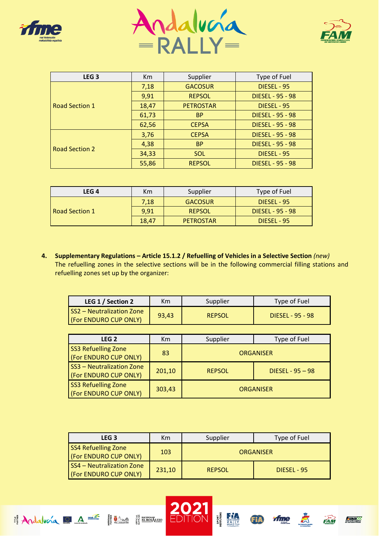





| LEG <sub>3</sub>      | Km    | Supplier         | Type of Fuel            |  |  |  |  |
|-----------------------|-------|------------------|-------------------------|--|--|--|--|
|                       | 7,18  | <b>GACOSUR</b>   | DIESEL - 95             |  |  |  |  |
|                       | 9,91  | <b>REPSOL</b>    | <b>DIESEL - 95 - 98</b> |  |  |  |  |
| Road Section 1        | 18,47 | <b>PETROSTAR</b> | DIESEL - 95             |  |  |  |  |
|                       | 61,73 | <b>BP</b>        | <b>DIESEL - 95 - 98</b> |  |  |  |  |
|                       | 62,56 | <b>CEPSA</b>     | <b>DIESEL - 95 - 98</b> |  |  |  |  |
|                       | 3,76  | <b>CEPSA</b>     | <b>DIESEL - 95 - 98</b> |  |  |  |  |
|                       | 4,38  | <b>BP</b>        | <b>DIESEL - 95 - 98</b> |  |  |  |  |
| <b>Road Section 2</b> | 34,33 | <b>SOL</b>       | DIESEL - 95             |  |  |  |  |
|                       | 55,86 | <b>REPSOL</b>    | <b>DIESEL - 95 - 98</b> |  |  |  |  |

| LEG 4          | Km    | Supplier         | Type of Fuel     |
|----------------|-------|------------------|------------------|
|                | 7,18  | <b>GACOSUR</b>   | DIESEL - 95      |
| Road Section 1 | 9,91  | <b>REPSOL</b>    | DIESEL - 95 - 98 |
|                | 18,47 | <b>PETROSTAR</b> | DIESEL - 95      |

**4. Supplementary Regulations – Article 15.1.2 / Refuelling of Vehicles in a Selective Section** *(new)* The refuelling zones in the selective sections will be in the following commercial filling stations and refuelling zones set up by the organizer:

| LEG 1 / Section 2                                         | Km    | Supplier      | Type of Fuel     |
|-----------------------------------------------------------|-------|---------------|------------------|
| <b>SS2 - Neutralization Zone</b><br>(For ENDURO CUP ONLY) | 93,43 | <b>REPSOL</b> | DIESEL - 95 - 98 |

| LEG <sub>2</sub>                                    | Km     | Supplier         | Type of Fuel       |  |  |  |  |
|-----------------------------------------------------|--------|------------------|--------------------|--|--|--|--|
| <b>SS3 Refuelling Zone</b><br>(For ENDURO CUP ONLY) | 83     | <b>ORGANISER</b> |                    |  |  |  |  |
| SS3 - Neutralization Zone<br>(For ENDURO CUP ONLY)  | 201,10 | <b>REPSOL</b>    | DIESEL - $95 - 98$ |  |  |  |  |
| <b>SS3 Refuelling Zone</b><br>(For ENDURO CUP ONLY) | 303,43 |                  | <b>ORGANISER</b>   |  |  |  |  |

| LEG <sub>3</sub>                                    | Km     | Type of Fuel<br>Supplier |             |  |  |  |  |
|-----------------------------------------------------|--------|--------------------------|-------------|--|--|--|--|
| <b>SS4 Refuelling Zone</b><br>(For ENDURO CUP ONLY) | 103    | <b>ORGANISER</b>         |             |  |  |  |  |
| SS4 - Neutralization Zone<br>(For ENDURO CUP ONLY)  | 231,10 | <b>REPSOL</b>            | DIESEL - 95 |  |  |  |  |









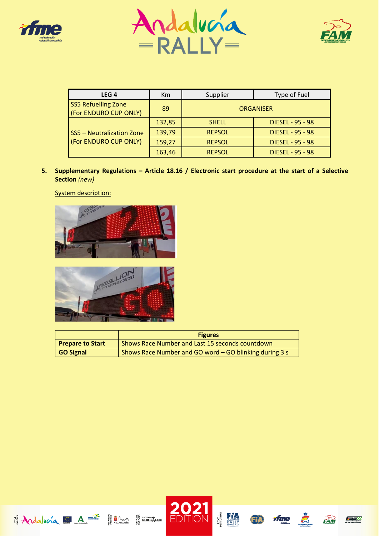





| LEG <sub>4</sub>                                    | Km     | Supplier      | Type of Fuel            |  |  |  |  |
|-----------------------------------------------------|--------|---------------|-------------------------|--|--|--|--|
| <b>SS5 Refuelling Zone</b><br>(For ENDURO CUP ONLY) | 89     |               | <b>ORGANISER</b>        |  |  |  |  |
|                                                     | 132,85 | <b>SHELL</b>  | <b>DIESEL - 95 - 98</b> |  |  |  |  |
| SS5 - Neutralization Zone                           | 139,79 | <b>REPSOL</b> | <b>DIESEL - 95 - 98</b> |  |  |  |  |
| (For ENDURO CUP ONLY)                               | 159,27 | <b>REPSOL</b> | <b>DIESEL - 95 - 98</b> |  |  |  |  |
|                                                     | 163,46 | <b>REPSOL</b> | <b>DIESEL - 95 - 98</b> |  |  |  |  |

**5. Supplementary Regulations – Article 18.16 / Electronic start procedure at the start of a Selective Section** *(new)*

System description:





|                         | <b>Figures</b>                                         |
|-------------------------|--------------------------------------------------------|
| <b>Prepare to Start</b> | Shows Race Number and Last 15 seconds countdown        |
| GO Signal               | Shows Race Number and GO word - GO blinking during 3 s |







**CONSIDERED**<br>CROSS COUNTRY





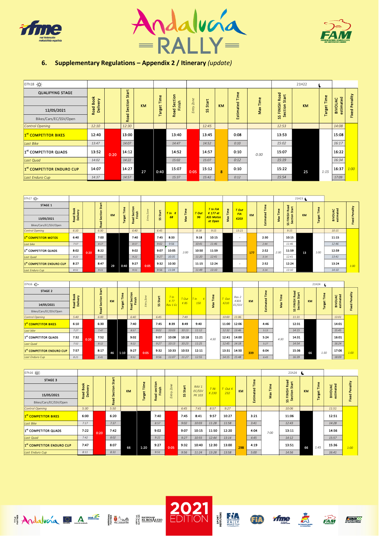





## **6. Supplementary Regulations – Appendix 2 / Itinerary** *(update)*

| 07h18 .Q-                        |                  |      |                 |           |                 |                       |        |       |           |           |       |                   | 21H22     |               |                             |      |
|----------------------------------|------------------|------|-----------------|-----------|-----------------|-----------------------|--------|-------|-----------|-----------|-------|-------------------|-----------|---------------|-----------------------------|------|
| <b>QUALIFYING STAGE</b>          |                  |      | Start           |           |                 |                       |        |       |           | Time      |       | Road              |           |               |                             |      |
|                                  | Book<br>Delivery |      | ction           |           | Section<br>Time | <b>Zone</b>           | Start  |       |           | Time      | Start |                   | Time      |               | <b>Fixed Penality</b>       |      |
| 12/05/2021                       | Road             |      | $\alpha$<br>Ū   | <b>KM</b> | Target          | Finish<br><b>Road</b> | Entry. | S.    | <b>KM</b> | Estimated | Nax   | FINISH<br>Section | <b>KM</b> | <b>Target</b> | estimated<br><b>BIVOUAC</b> |      |
| Bikes/Cars/EC/SSV/Open           |                  |      | <b>Dec</b><br>œ |           |                 |                       |        |       |           |           |       | S.                |           |               |                             |      |
| Control Opening                  | 12:10            |      | 12:30           |           |                 |                       |        | 12:45 |           |           |       | 12:53             |           |               | 14:08                       |      |
| 1 <sup>st</sup> COMPETITOR BIKES | 12:40            |      | 13:00           |           |                 | 13:40                 |        | 13:45 |           | 0:08      |       | 13:53             |           |               | 15:08                       |      |
| Last Bike                        | 13:47            |      | 14:07           |           |                 | 14:47                 |        | 14:52 |           | 0:10      |       | 15:02             |           |               | 16:17                       |      |
| 1 <sup>st</sup> COMPETITOR QUADS | 13:52            | 0:20 | 14:12           |           |                 | 14:52                 |        | 14:57 |           | 0:10      | 0:30  | 15:07             |           |               | 16:22                       |      |
| Last Quad                        | 14:02            |      | 14:22           |           |                 | 15:02                 |        | 15:07 |           | 0:12      |       | 15:19             |           |               | 16:34                       |      |
| 1st COMPETITOR ENDURO CUP        | 14:07            |      | 14:27           | 27        | 0:40            | 15:07                 | 0:05   | 15:12 | 8         | 0:10      |       | 15:22             | 25        | 1:15          | 16:37                       | 1:00 |
| Last Enduro Cup                  | 14:37            |      | 14:57           |           |                 | 15:37                 |        | 15:42 |           | 0:12      |       | 15:54             |           |               | 17:09                       |      |

| 07h17 - Q -                      |                       |      |               |           |                    |                   |            |          |                         |          |       |                             |                            |                     |           |                       |                |                        | 21H23             |                    |                                 |                       |
|----------------------------------|-----------------------|------|---------------|-----------|--------------------|-------------------|------------|----------|-------------------------|----------|-------|-----------------------------|----------------------------|---------------------|-----------|-----------------------|----------------|------------------------|-------------------|--------------------|---------------------------------|-----------------------|
| STAGE 1                          |                       |      | <b>Start</b>  |           |                    |                   |            |          |                         |          |       |                             |                            |                     |           |                       |                | Road                   |                   |                    |                                 |                       |
|                                  | Book                  |      | Section       | <b>KM</b> |                    | Section<br>Finish |            | SS Start | T ln K                  | Max Time | T Out | T in FIA<br>K 177 et        | Time                       | T Out<br><b>FIA</b> | <b>KM</b> |                       |                | Start                  | <b>KM</b>         |                    |                                 |                       |
| 13/05/2021                       | Road Book<br>Delivery |      |               |           | <b>Target Time</b> | Road              | Entry Zone |          | 68                      |          | 96    | <b>ASS Motos</b><br>et Open | Nax <sup>-</sup>           | K203                |           | <b>Estimated Time</b> | Max Time       | SS FINISH<br>Section S |                   | <b>Target Time</b> | <b>BIVOUAC</b><br>estimated     | <b>Fixed Penality</b> |
| Bikes/Cars/EC/SSV/Open           |                       |      | <b>Road</b>   |           |                    |                   |            |          |                         |          |       |                             |                            |                     |           |                       |                |                        |                   |                    |                                 |                       |
| Control Opening                  | 6:10                  |      | 6:30          |           |                    | 6:40              |            | 6:45     |                         |          | 8:18  | 9:15                        |                            | 13:21               |           |                       |                | 9:15                   |                   |                    | 10:15                           |                       |
| 1 <sup>st</sup> COMPETITOR MOTOS | 6:40                  |      | 7:00          |           |                    | 7:40              |            | 7:45     | 8.33                    |          | 9:18  | 10:15                       |                            | $\sim$              |           | 2:30                  |                | 10:15                  |                   |                    | 11:15                           |                       |
| Last bike                        | 7:57                  |      | 8:17          |           |                    | 8:57              |            | 9:02     | 9:56                    |          | 10:41 | 11:46                       |                            |                     |           | 2:44                  |                | 11:46                  |                   |                    | 12:46                           |                       |
| 1st COMPETITOR QUADS             | 8:02                  | 0:20 | 8:22          |           |                    | 9:02              |            | 9:07     | 10:05                   | 2:00     | 10:50 | 11:59                       |                            |                     | 177       | 2.52                  | 2:30           | 11.59                  | 13                | 1:00               | 12:59                           |                       |
| Last Quad                        | 8:22                  |      | 8:42          |           |                    | 9:22              |            | 9:27     | 10:35                   |          | 11:20 | 12:41                       |                            |                     |           | 3:14                  |                | 12:41                  |                   |                    | 13:41                           |                       |
| 1st COMPETITOR ENDURO CUP        | 8:27                  |      | 8:47          | 29        | 0:40               | 9:27              | 0:05       | 9:32     | 10:30                   |          | 11:15 | 12:24                       |                            | $\sim$              |           | 2:52                  |                | 12:24                  |                   |                    | 13:24                           | 1:00                  |
| Last Enduro Cup                  | 8:51                  |      | 9:11          |           |                    | 9:51              |            | 9:56     | 11:04                   |          | 11:49 | 13:10                       |                            |                     |           | 3:14                  |                | 13:10                  |                   |                    | 14:10                           |                       |
|                                  |                       |      |               |           |                    |                   |            |          |                         |          |       |                             |                            |                     |           |                       |                |                        |                   |                    |                                 |                       |
| 07h16 -Q -                       |                       |      |               |           |                    |                   |            |          |                         |          |       |                             |                            |                     |           |                       |                |                        |                   | 21H24              |                                 |                       |
| STAGE 2                          | š<br>livery           |      | Star<br>ction | KM        | st Time            | Section<br>nish   | y Zone     | Start    | T ln<br>K <sub>77</sub> | T Out    | T ln  | Fime<br>$\sim$              | T Out<br><b>Contractor</b> | Rav 2<br>K303       | KM        | ted Time              | Time<br>$\sim$ | Road<br>또              | Start<br>£.<br>KM |                    | st Time<br><b>OUAC</b><br>mated | Penality              |

| 07h16 -Q -                       |                    |      |      |           |      |                |                |       |                             |       |       |      |       |                |           |           |      | 21H24                   |           |       |                             |        |
|----------------------------------|--------------------|------|------|-----------|------|----------------|----------------|-------|-----------------------------|-------|-------|------|-------|----------------|-----------|-----------|------|-------------------------|-----------|-------|-----------------------------|--------|
| STAGE 2                          |                    |      |      |           | ø    |                |                |       |                             |       |       |      |       |                |           | Time      |      | 꾱                       |           |       |                             |        |
|                                  | 쭘<br><b>E</b><br>m |      | 읍    |           | Ě    | Section        | $\overline{z}$ | Start | T ln                        | T Out | $n -$ | Ĕ    | T Out | Rav 2          |           |           |      | œ.                      |           | Ě     |                             | nality |
| 14/05/2021                       | aali<br>Deliv<br>æ |      | u    | <b>KM</b> | isa) | Finish<br>Road | ntry           | S.    | K <sub>77</sub><br>Rav 1 Ec | K 85  | 150   | Max  | K210  | K303<br>EC/SSV | <b>KM</b> | Estimated | Max  | FINISH<br>sction S<br>s | <b>KM</b> | arget | <b>BIVOUAC</b><br>estimated | ъ      |
| Bikes/Cars/EC/SSV/Open           |                    |      | œ.   |           |      |                |                |       |                             |       |       |      |       |                |           |           |      | ಜಿ ಇ                    |           |       |                             | ž      |
| Control Opening                  | 5:40               |      | 6:00 |           |      | 6:40           |                | 6:45  |                             | 7:49  |       |      | 10:00 | 11:06          |           |           |      | 11:31                   |           |       | 13:01                       |        |
| 1 <sup>st</sup> COMPETITOR BIKES | 6:10               |      | 6:30 |           |      | 7.40           |                | 7:45  | 8.39                        | 8:49  | 9:40  |      | 11:00 | 12:06          |           | 4.46      |      | 12:31                   |           |       | 14:01                       |        |
| Last bike                        | 7:27               |      | 7:47 |           |      | 8:57           |                | 9:02  | 10:03                       | 10:13 | 11:12 |      | 12:32 | 13:46          |           | 5:13      |      | 14:15                   |           |       | 15:45                       |        |
| 1 <sup>st</sup> COMPETITOR QUADS | 7:32               | 0:20 | 7:52 |           |      | 9:02           |                | 9:07  | 10:08                       | 10:18 | 11:21 | 4:30 | 12:41 | 14:00          |           | 5:24      | 4:30 | 14:31                   |           |       | 16:01                       |        |
| Last Quad                        | 7:52               |      | 8:12 |           |      | 9:22           |                | 9:27  | 10:13                       | 10:23 | 11:25 |      | 12:45 | 14:18          |           | 5:27      |      | 14:54                   |           |       | 16:24                       |        |
| 1st COMPETITOR ENDURO CUP        | 7:57               |      | 8:17 | 46        | 1:10 | 9.27           | 0:05           | 9:32  | 10:33                       | 10:53 | 12:11 |      | 13:31 | 14.50          | 339       | 6:04      |      | 15:36                   | 66        | 1:30  | 17:06                       | 1:00   |
| Last Enduro Cup                  | 8:21               |      | 8:41 |           |      | 9:51           |                | 9:56  | 11:07                       | 11:27 | 12:55 |      | 14:15 | 15:48          |           | 6:43      |      | 16:39                   |           |       | 18:09                       |        |

| 07h16 Q-                         |                                    |      |                |    |              |                       |             |       |                            |       |         |     |                   |              | 21h24                   |           |        |                           |             |
|----------------------------------|------------------------------------|------|----------------|----|--------------|-----------------------|-------------|-------|----------------------------|-------|---------|-----|-------------------|--------------|-------------------------|-----------|--------|---------------------------|-------------|
| <b>STAGE 3</b>                   |                                    |      | Start          |    |              |                       |             |       |                            |       |         |     | lime              |              | <b>Good</b><br>ã        |           |        |                           |             |
|                                  | 풍<br>č<br>ō<br>$\overline{a}$<br>≃ |      | <b>Section</b> | KM | <b>Tilme</b> | ction<br>Finish<br>ū. | Zone        | Start | RAV <sub>1</sub><br>EC/SSV | T/N   | T Out K | KM  | ÷<br>g            | <b>Firme</b> | $\sim$<br>m<br>ã        | <b>KM</b> | Time   | E<br><b>BIVOUAC</b><br>n. | enality     |
| 15/05/2021                       | oad E<br>Deliv<br>œ                |      |                |    | arget        | Road                  | ntry<br>ui. | S.    | PK 103                     | K230  | 232     |     | <b>CD</b><br>stim | ă<br>5       | 竺<br>롣<br>Ξ<br><u>ی</u> |           | Target | stim                      | ۵.<br>Fixed |
| Bikes/Cars/EC/SSV/Open           |                                    |      | Road           |    |              |                       |             |       |                            |       |         |     | m                 |              | ೫ ಎ                     |           |        |                           |             |
| Control Opening                  | 5:30                               |      | 5:50           |    |              |                       |             | 6:45  | 7:41                       | 8:57  | 9:27    |     |                   |              | 10:06                   |           |        | 11:51                     |             |
| 1st COMPETITOR BIKES             | 6:00                               |      | 6:20           |    |              | 7:40                  |             | 7:45  | 8:41                       | 9.57  | 10:27   |     | 3:21              |              | 11:06                   |           |        | 12:51                     |             |
| Last Bike                        | 7:17                               |      | 7:37           |    |              | 8:57                  |             | 9:02  | 10:03                      | 11:28 | 11:58   |     | 3:41              |              | 12:43                   |           |        | 14:28                     |             |
| 1 <sup>st</sup> COMPETITOR QUADS | 7:22                               | 0:20 | 7:42           |    |              | 9:02                  |             | 9:07  | 10:15                      | 11:50 | 12:20   |     | 4:04              | 7:00         | 13:11                   |           |        | 14:56                     |             |
| Last Quad                        | 7:42                               |      | 8:02           |    |              | 9:22                  |             | 9:27  | 10:55                      | 12:44 | 13:14   |     | 4:45              |              | 14:12                   |           |        | 15:57                     |             |
| 1st COMPETITOR ENDURO CUP        | 7:47                               |      | 8:07           | 66 | 1:20         | 9:27                  | 0:05        | 9:32  | 10:40                      | 12:30 | 13:00   | 298 | 4:19              |              | 13:51                   | 66        | 1:45   | 15:36                     | 1:00        |
| Last Enduro Cup                  | 8:11                               |      | 8:31           |    |              | 9:51                  |             | 9:56  | 11:24                      | 13:28 | 13:58   |     | 5:00              |              | 14:56                   |           |        | 16:41                     |             |